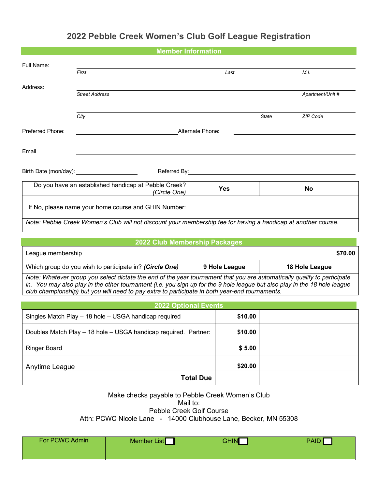## **2022 Pebble Creek Women's Club Golf League Registration**

|                       | <b>Member Information</b>                                                                                      |            |              |                  |
|-----------------------|----------------------------------------------------------------------------------------------------------------|------------|--------------|------------------|
| Full Name:            | First                                                                                                          | Last       |              | M.I.             |
| Address:              |                                                                                                                |            |              |                  |
|                       | <b>Street Address</b>                                                                                          |            |              | Apartment/Unit # |
|                       | City                                                                                                           |            | <b>State</b> | ZIP Code         |
| Preferred Phone:      | Alternate Phone:                                                                                               |            |              |                  |
| Email                 |                                                                                                                |            |              |                  |
| Birth Date (mon/day): | Referred By:                                                                                                   |            |              |                  |
|                       | Do you have an established handicap at Pebble Creek?<br>(Circle One)                                           | <b>Yes</b> |              | <b>No</b>        |
|                       | If No, please name your home course and GHIN Number:                                                           |            |              |                  |
|                       | Note: Pebble Creek Women's Club will not discount your membership fee for having a handicap at another course. |            |              |                  |

| 2022 Club Membership Packages                                                                                                                                                                                                                                                                                                                           |               |                |  |
|---------------------------------------------------------------------------------------------------------------------------------------------------------------------------------------------------------------------------------------------------------------------------------------------------------------------------------------------------------|---------------|----------------|--|
| League membership                                                                                                                                                                                                                                                                                                                                       |               | \$70.00        |  |
| Which group do you wish to participate in? (Circle One)                                                                                                                                                                                                                                                                                                 | 9 Hole League | 18 Hole League |  |
| Note: Whatever group you select dictate the end of the year tournament that you are automatically qualify to participate<br>in. You may also play in the other tournament (i.e. you sign up for the 9 hole league but also play in the 18 hole league<br>club championship) but you will need to pay extra to participate in both year-end tournaments. |               |                |  |

| <b>2022 Optional Events</b>                                     |         |  |
|-----------------------------------------------------------------|---------|--|
| Singles Match Play - 18 hole - USGA handicap required           | \$10.00 |  |
| Doubles Match Play - 18 hole - USGA handicap required. Partner: | \$10.00 |  |
| <b>Ringer Board</b>                                             | \$5.00  |  |
| Anytime League                                                  | \$20.00 |  |
| <b>Total Due</b>                                                |         |  |

## Make checks payable to Pebble Creek Women's Club Mail to: Pebble Creek Golf Course

Attn: PCWC Nicole Lane - 14000 Clubhouse Lane, Becker, MN 55308

| For PCWC Admin | Member List | GHIN | <b>PAID</b> |
|----------------|-------------|------|-------------|
|                |             |      |             |